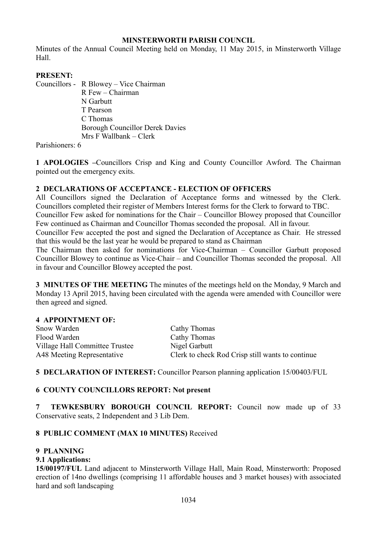# **MINSTERWORTH PARISH COUNCIL**

Minutes of the Annual Council Meeting held on Monday, 11 May 2015, in Minsterworth Village Hall.

#### **PRESENT:**

Councillors - R Blowey – Vice Chairman

R Few – Chairman N Garbutt T Pearson C Thomas Borough Councillor Derek Davies Mrs F Wallbank – Clerk

Parishioners: 6

**1 APOLOGIES –**Councillors Crisp and King and County Councillor Awford. The Chairman pointed out the emergency exits.

# **2 DECLARATIONS OF ACCEPTANCE - ELECTION OF OFFICERS**

All Councillors signed the Declaration of Acceptance forms and witnessed by the Clerk. Councillors completed their register of Members Interest forms for the Clerk to forward to TBC.

Councillor Few asked for nominations for the Chair – Councillor Blowey proposed that Councillor Few continued as Chairman and Councillor Thomas seconded the proposal. All in favour.

Councillor Few accepted the post and signed the Declaration of Acceptance as Chair. He stressed that this would be the last year he would be prepared to stand as Chairman

The Chairman then asked for nominations for Vice-Chairman – Councillor Garbutt proposed Councillor Blowey to continue as Vice-Chair – and Councillor Thomas seconded the proposal. All in favour and Councillor Blowey accepted the post.

**3 MINUTES OF THE MEETING** The minutes of the meetings held on the Monday, 9 March and Monday 13 April 2015, having been circulated with the agenda were amended with Councillor were then agreed and signed.

#### **4 APPOINTMENT OF:**

| Snow Warden                    | Cathy Thomas                                     |
|--------------------------------|--------------------------------------------------|
| Flood Warden                   | Cathy Thomas                                     |
| Village Hall Committee Trustee | Nigel Garbutt                                    |
| A48 Meeting Representative     | Clerk to check Rod Crisp still wants to continue |

# **5 DECLARATION OF INTEREST:** Councillor Pearson planning application 15/00403/FUL

# **6 COUNTY COUNCILLORS REPORT: Not present**

**7 TEWKESBURY BOROUGH COUNCIL REPORT:** Council now made up of 33 Conservative seats, 2 Independent and 3 Lib Dem.

# **8 PUBLIC COMMENT (MAX 10 MINUTES)** Received

# **9 PLANNING**

# **9.1 Applications:**

**15/00197/FUL** Land adjacent to Minsterworth Village Hall, Main Road, Minsterworth: Proposed erection of 14no dwellings (comprising 11 affordable houses and 3 market houses) with associated hard and soft landscaping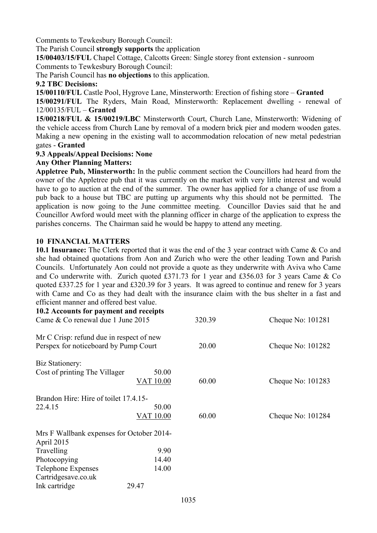Comments to Tewkesbury Borough Council:

The Parish Council **strongly supports** the application

**15/00403/15/FUL** Chapel Cottage, Calcotts Green: Single storey front extension - sunroom Comments to Tewkesbury Borough Council:

The Parish Council has **no objections** to this application.

#### **9.2 TBC Decisions:**

**15/00110/FUL** Castle Pool, Hygrove Lane, Minsterworth: Erection of fishing store – **Granted** 

**15/00291/FUL** The Ryders, Main Road, Minsterworth: Replacement dwelling - renewal of 12/00135/FUL – **Granted** 

**15/00218/FUL & 15/00219/LBC** Minsterworth Court, Church Lane, Minsterworth: Widening of the vehicle access from Church Lane by removal of a modern brick pier and modern wooden gates. Making a new opening in the existing wall to accommodation relocation of new metal pedestrian gates - **Granted** 

# **9.3 Appeals/Appeal Decisions: None**

#### **Any Other Planning Matters:**

**Appletree Pub, Minsterworth:** In the public comment section the Councillors had heard from the owner of the Appletree pub that it was currently on the market with very little interest and would have to go to auction at the end of the summer. The owner has applied for a change of use from a pub back to a house but TBC are putting up arguments why this should not be permitted. The application is now going to the June committee meeting. Councillor Davies said that he and Councillor Awford would meet with the planning officer in charge of the application to express the parishes concerns. The Chairman said he would be happy to attend any meeting.

# **10 FINANCIAL MATTERS**

**10.1 Insurance:** The Clerk reported that it was the end of the 3 year contract with Came & Co and she had obtained quotations from Aon and Zurich who were the other leading Town and Parish Councils. Unfortunately Aon could not provide a quote as they underwrite with Aviva who Came and Co underwrite with. Zurich quoted £371.73 for 1 year and £356.03 for 3 years Came & Co quoted £337.25 for 1 year and £320.39 for 3 years. It was agreed to continue and renew for 3 years with Came and Co as they had dealt with the insurance claim with the bus shelter in a fast and efficient manner and offered best value.

| 10.2 Accounts for payment and receipts<br>Came & Co renewal due 1 June 2015       |                    | 320.39 | Cheque No: 101281   |  |
|-----------------------------------------------------------------------------------|--------------------|--------|---------------------|--|
| Mr C Crisp: refund due in respect of new<br>Perspex for noticeboard by Pump Court |                    | 20.00  | Cheque No: 101282   |  |
| Biz Stationery:<br>Cost of printing The Villager                                  | 50.00<br>VAT 10.00 | 60.00  | Cheque No: 101283   |  |
| Brandon Hire: Hire of toilet 17.4.15-                                             |                    |        |                     |  |
| 22.4.15                                                                           | 50.00<br>VAT 10.00 | 60.00  | Cheque No: $101284$ |  |
| Mrs F Wallbank expenses for October 2014-<br>April 2015                           |                    |        |                     |  |
| Travelling                                                                        | 9.90               |        |                     |  |
| Photocopying                                                                      | 14.40              |        |                     |  |
| <b>Telephone Expenses</b><br>Cartridgesave.co.uk                                  | 14.00              |        |                     |  |
| Ink cartridge                                                                     | 29.47              |        |                     |  |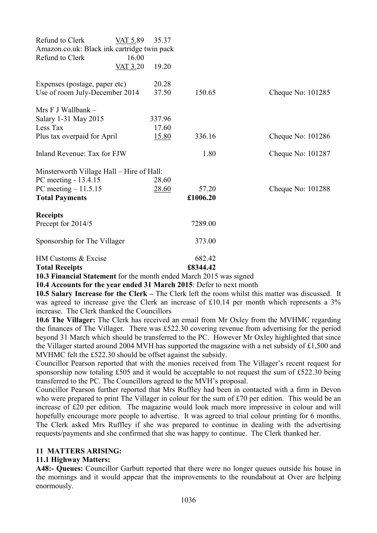| Refund to Clerk<br>Amazon.co.uk: Black ink cartridge twin pack                       | VAT 5.89                                  | 35.37        |                    |                     |  |  |
|--------------------------------------------------------------------------------------|-------------------------------------------|--------------|--------------------|---------------------|--|--|
| Refund to Clerk                                                                      | 16.00<br><b>VAT 3.20</b>                  | 19.20        |                    |                     |  |  |
| Expenses (postage, paper etc)                                                        |                                           | 20.28        |                    |                     |  |  |
| Use of room July-December 2014                                                       |                                           | 37.50        | 150.65             | Cheque No: 101285   |  |  |
| Mrs $F$ J Wallbank $-$                                                               |                                           |              |                    |                     |  |  |
| Salary 1-31 May 2015                                                                 |                                           | 337.96       |                    |                     |  |  |
| Less Tax                                                                             |                                           | 17.60        |                    |                     |  |  |
| Plus tax overpaid for April                                                          |                                           | <u>15.80</u> | 336.16             | Cheque No: $101286$ |  |  |
| Inland Revenue: Tax for FJW                                                          |                                           |              | 1.80               | Cheque No: 101287   |  |  |
| Minsterworth Village Hall – Hire of Hall:                                            |                                           |              |                    |                     |  |  |
| PC meeting - 13.4.15                                                                 |                                           | 28.60        |                    |                     |  |  |
| PC meeting $-11.5.15$                                                                |                                           | 28.60        | 57.20              | Cheque No: 101288   |  |  |
| <b>Total Payments</b>                                                                |                                           |              | £1006.20           |                     |  |  |
| <b>Receipts</b>                                                                      |                                           |              |                    |                     |  |  |
| Precept for 2014/5                                                                   |                                           |              | 7289.00            |                     |  |  |
| Sponsorship for The Villager                                                         |                                           |              | 373.00             |                     |  |  |
| HM Customs & Excise                                                                  |                                           |              | 682.42             |                     |  |  |
| <b>Total Receipts</b><br>$\bullet$ $\bullet$ $\bullet$ $\bullet$ $\bullet$ $\bullet$ | $\sim$ $\sim$ $\sim$ $\sim$ $\sim$ $\sim$ | $\cdot$ 1    | £8344.42<br>1.13.6 |                     |  |  |

**10.3 Financial Statement** for the month ended March 2015 was signed

**10.4 Accounts for the year ended 31 March 2015**: Defer to next month

**10.5 Salary Increase for the Clerk –** The Clerk left the room whilst this matter was discussed. It was agreed to increase give the Clerk an increase of £10.14 per month which represents a 3% increase. The Clerk thanked the Councillors

**10.6 The Villager:** The Clerk has received an email from Mr Oxley from the MVHMC regarding the finances of The Villager. There was £522.30 covering revenue from advertising for the period beyond 31 March which should be transferred to the PC. However Mr Oxley highlighted that since the Villager started around 2004 MVH has supported the magazine with a net subsidy of £1,500 and MVHMC felt the £522.30 should be offset against the subsidy.

Councillor Pearson reported that with the monies received from The Villager's recent request for sponsorship now totaling £505 and it would be acceptable to not request the sum of £522.30 being transferred to the PC. The Councillors agreed to the MVH's proposal.

Councillor Pearson further reported that Mrs Ruffley had been in contacted with a firm in Devon who were prepared to print The Villager in colour for the sum of £70 per edition. This would be an increase of £20 per edition. The magazine would look much more impressive in colour and will hopefully encourage more people to advertise. It was agreed to trial colour printing for 6 months. The Clerk asked Mrs Ruffley if she was prepared to continue in dealing with the advertising requests/payments and she confirmed that she was happy to continue. The Clerk thanked her.

# **11 MATTERS ARISING:**

#### **11.1 Highway Matters:**

**A48:- Queues:** Councillor Garbutt reported that there were no longer queues outside his house in the mornings and it would appear that the improvements to the roundabout at Over are helping enormously.